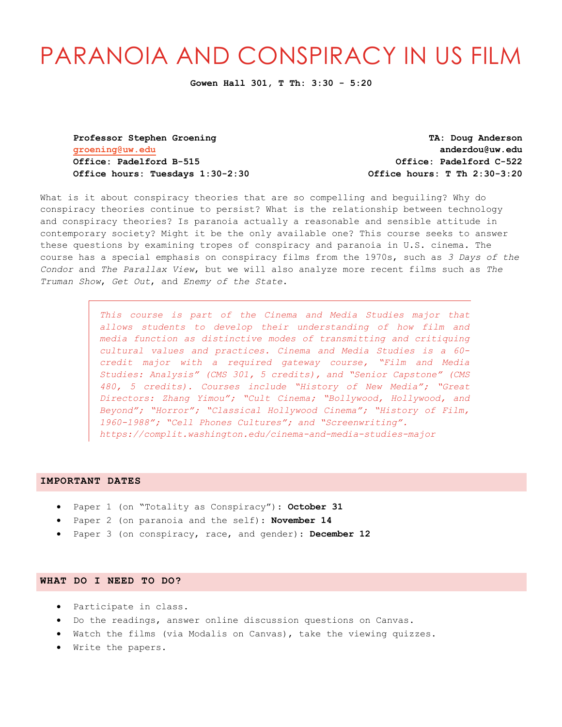# PARANOIA AND CONSPIRACY IN US FILM

**Gowen Hall 301, T Th: 3:30 - 5:20**

**groening@uw.edu anderdou@uw.edu Office: Padelford B-515 Office: Padelford C-522 Office hours: Tuesdays 1:30-2:30 Office hours: T Th 2:30-3:20**

**Professor Stephen Groening TA: Doug Anderson**

What is it about conspiracy theories that are so compelling and beguiling? Why do conspiracy theories continue to persist? What is the relationship between technology and conspiracy theories? Is paranoia actually a reasonable and sensible attitude in contemporary society? Might it be the only available one? This course seeks to answer these questions by examining tropes of conspiracy and paranoia in U.S. cinema. The course has a special emphasis on conspiracy films from the 1970s, such as *3 Days of the Condor* and *The Parallax View*, but we will also analyze more recent films such as *The Truman Show*, *Get Out*, and *Enemy of the State*.

> *This course is part of the Cinema and Media Studies major that allows students to develop their understanding of how film and media function as distinctive modes of transmitting and critiquing cultural values and practices. Cinema and Media Studies is a 60 credit major with a required gateway course, "Film and Media Studies: Analysis" (CMS 301, 5 credits), and "Senior Capstone" (CMS 480, 5 credits). Courses include "History of New Media"; "Great Directors: Zhang Yimou"; "Cult Cinema; "Bollywood, Hollywood, and Beyond"; "Horror"; "Classical Hollywood Cinema"; "History of Film, 1960-1988"; "Cell Phones Cultures"; and "Screenwriting". https://complit.washington.edu/cinema-and-media-studies-major*

## **IMPORTANT DATES**

- Paper 1 (on "Totality as Conspiracy"): **October 31**
- Paper 2 (on paranoia and the self): **November 14**
- Paper 3 (on conspiracy, race, and gender): **December 12**

## **WHAT DO I NEED TO DO?**

- Participate in class.
- Do the readings, answer online discussion questions on Canvas.
- Watch the films (via Modalis on Canvas), take the viewing quizzes.
- Write the papers.